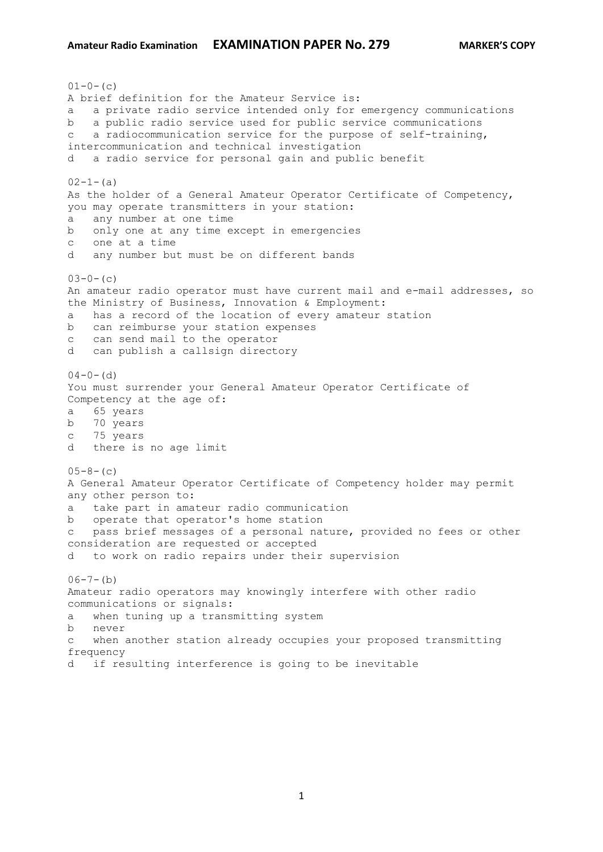$01-0-$  (c) A brief definition for the Amateur Service is: a a private radio service intended only for emergency communications b a public radio service used for public service communications c a radiocommunication service for the purpose of self-training, intercommunication and technical investigation d a radio service for personal gain and public benefit  $02-1-(a)$ As the holder of a General Amateur Operator Certificate of Competency, you may operate transmitters in your station: a any number at one time b only one at any time except in emergencies c one at a time d any number but must be on different bands  $03-0-$  (c) An amateur radio operator must have current mail and e-mail addresses, so the Ministry of Business, Innovation & Employment: a has a record of the location of every amateur station b can reimburse your station expenses c can send mail to the operator d can publish a callsign directory  $04-0-$  (d) You must surrender your General Amateur Operator Certificate of Competency at the age of: a 65 years b 70 years c 75 years d there is no age limit  $05-8-$  (c) A General Amateur Operator Certificate of Competency holder may permit any other person to: a take part in amateur radio communication b operate that operator's home station c pass brief messages of a personal nature, provided no fees or other consideration are requested or accepted d to work on radio repairs under their supervision  $06-7-(b)$ Amateur radio operators may knowingly interfere with other radio communications or signals: a when tuning up a transmitting system b never c when another station already occupies your proposed transmitting frequency d if resulting interference is going to be inevitable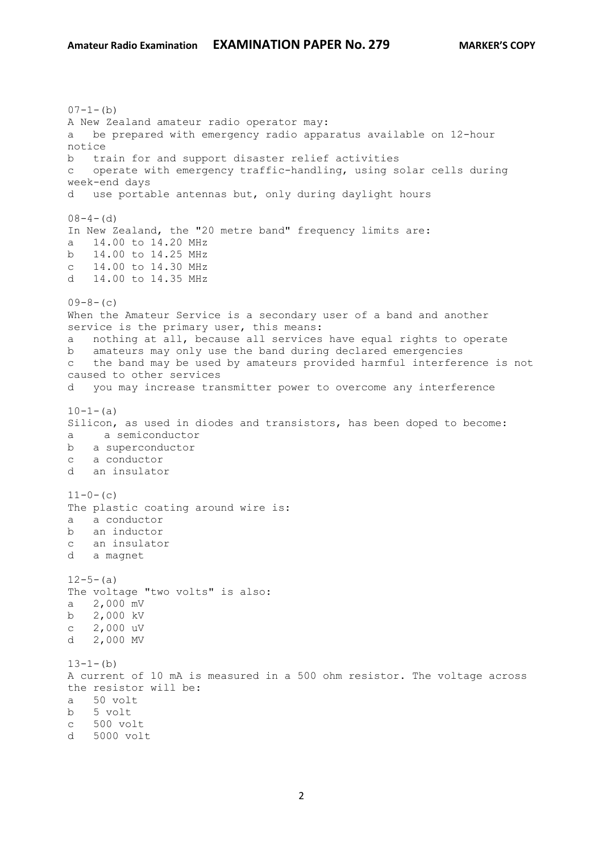$07-1-(b)$ A New Zealand amateur radio operator may: a be prepared with emergency radio apparatus available on 12-hour notice b train for and support disaster relief activities c operate with emergency traffic-handling, using solar cells during week-end days d use portable antennas but, only during daylight hours  $08-4-(d)$ In New Zealand, the "20 metre band" frequency limits are: a 14.00 to 14.20 MHz b 14.00 to 14.25 MHz c 14.00 to 14.30 MHz d 14.00 to 14.35 MHz  $09-8-(c)$ When the Amateur Service is a secondary user of a band and another service is the primary user, this means: a nothing at all, because all services have equal rights to operate b amateurs may only use the band during declared emergencies c the band may be used by amateurs provided harmful interference is not caused to other services d you may increase transmitter power to overcome any interference  $10-1-$ (a) Silicon, as used in diodes and transistors, has been doped to become: a a semiconductor b a superconductor c a conductor d an insulator  $11-0-$  (c) The plastic coating around wire is: a a conductor b an inductor c an insulator d a magnet  $12-5-(a)$ The voltage "two volts" is also: a 2,000 mV b 2,000 kV c 2,000 uV d 2,000 MV  $13-1-(b)$ A current of 10 mA is measured in a 500 ohm resistor. The voltage across the resistor will be: a 50 volt b 5 volt c 500 volt d 5000 volt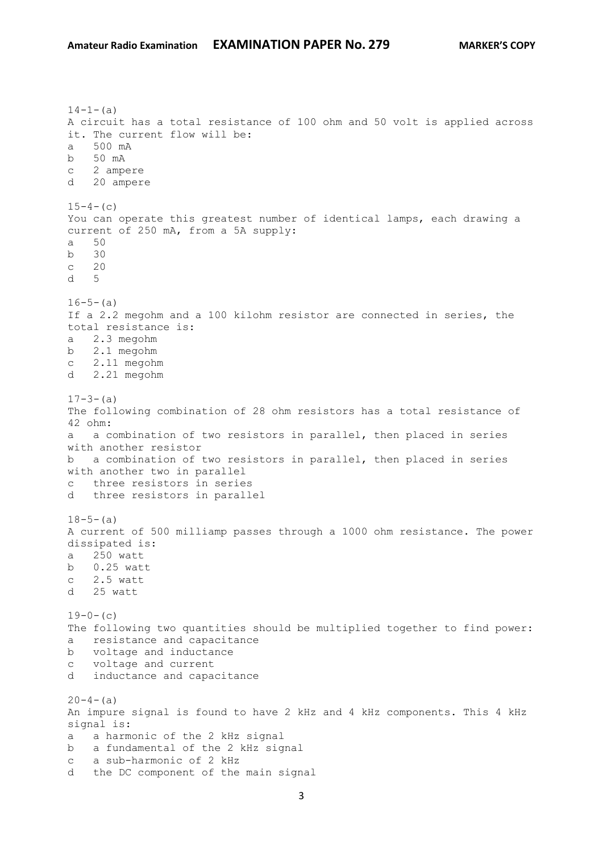$14-1-(a)$ A circuit has a total resistance of 100 ohm and 50 volt is applied across it. The current flow will be: a 500 mA b 50 mA c 2 ampere d 20 ampere  $15-4-$ (c) You can operate this greatest number of identical lamps, each drawing a current of 250 mA, from a 5A supply: a 50 b 30 c 20 d 5  $16-5-(a)$ If a 2.2 megohm and a 100 kilohm resistor are connected in series, the total resistance is: a 2.3 megohm b 2.1 megohm c 2.11 megohm d 2.21 megohm  $17-3-(a)$ The following combination of 28 ohm resistors has a total resistance of 42 ohm: a a combination of two resistors in parallel, then placed in series with another resistor b a combination of two resistors in parallel, then placed in series with another two in parallel c three resistors in series d three resistors in parallel  $18-5-(a)$ A current of 500 milliamp passes through a 1000 ohm resistance. The power dissipated is: a 250 watt b 0.25 watt c 2.5 watt d 25 watt  $19-0-$  (c) The following two quantities should be multiplied together to find power: a resistance and capacitance b voltage and inductance c voltage and current d inductance and capacitance  $20-4-(a)$ An impure signal is found to have 2 kHz and 4 kHz components. This 4 kHz signal is: a a harmonic of the 2 kHz signal b a fundamental of the 2 kHz signal c a sub-harmonic of 2 kHz d the DC component of the main signal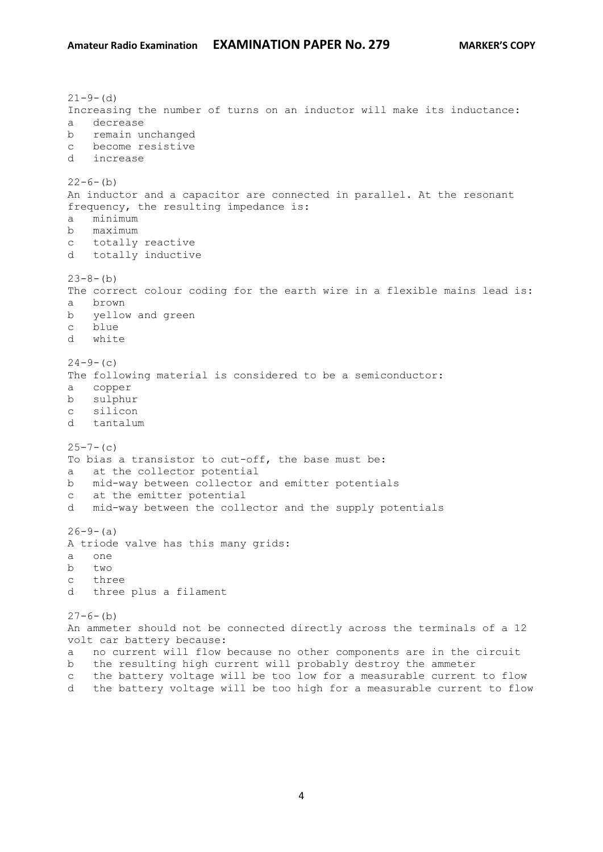$21 - 9 - (d)$ Increasing the number of turns on an inductor will make its inductance: a decrease b remain unchanged c become resistive d increase  $22-6-(b)$ An inductor and a capacitor are connected in parallel. At the resonant frequency, the resulting impedance is: a minimum b maximum c totally reactive d totally inductive  $23-8-(b)$ The correct colour coding for the earth wire in a flexible mains lead is: a brown b yellow and green c blue d white  $24-9-$ (c) The following material is considered to be a semiconductor: a copper b sulphur c silicon d tantalum  $25 - 7 - (c)$ To bias a transistor to cut-off, the base must be: a at the collector potential b mid-way between collector and emitter potentials c at the emitter potential d mid-way between the collector and the supply potentials  $26-9-(a)$ A triode valve has this many grids: a one b two c three d three plus a filament  $27-6-$ (b) An ammeter should not be connected directly across the terminals of a 12 volt car battery because: a no current will flow because no other components are in the circuit b the resulting high current will probably destroy the ammeter c the battery voltage will be too low for a measurable current to flow

4

d the battery voltage will be too high for a measurable current to flow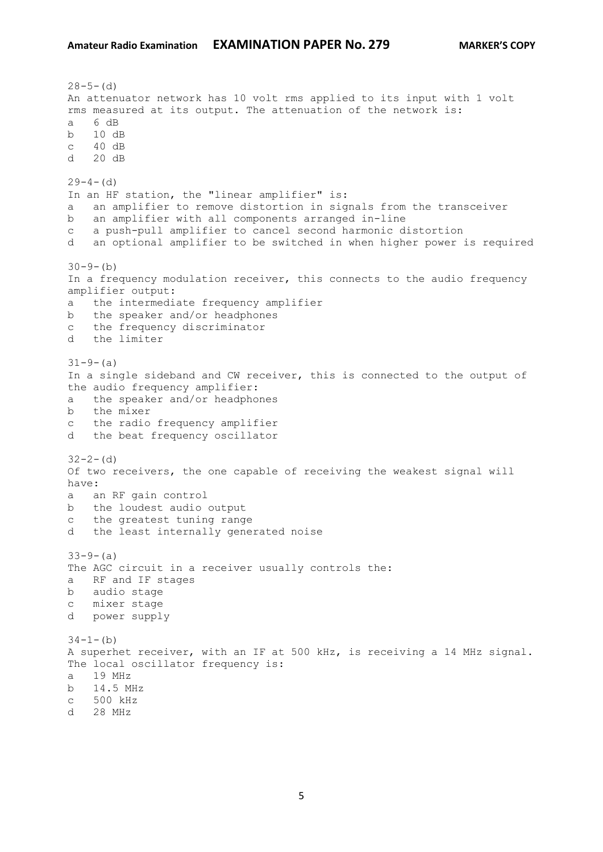```
28-5-(d)An attenuator network has 10 volt rms applied to its input with 1 volt 
rms measured at its output. The attenuation of the network is:
a 6 dB
b 10 dB
c 40 dB 
d 20 dB 
29-4- (d)
In an HF station, the "linear amplifier" is:
a an amplifier to remove distortion in signals from the transceiver
b an amplifier with all components arranged in-line
c a push-pull amplifier to cancel second harmonic distortion
d an optional amplifier to be switched in when higher power is required
30-9-(b)In a frequency modulation receiver, this connects to the audio frequency 
amplifier output:
a the intermediate frequency amplifier
b the speaker and/or headphones
c the frequency discriminator
d the limiter
31-9-(a)In a single sideband and CW receiver, this is connected to the output of 
the audio frequency amplifier:
a the speaker and/or headphones
b the mixer
c the radio frequency amplifier
d the beat frequency oscillator
32 - 2 - (d)Of two receivers, the one capable of receiving the weakest signal will 
have:
a an RF gain control
b the loudest audio output
c the greatest tuning range
d the least internally generated noise
33-9- (a)
The AGC circuit in a receiver usually controls the:
a RF and IF stages
b audio stage
c mixer stage
d power supply
34-1-(b)
A superhet receiver, with an IF at 500 kHz, is receiving a 14 MHz signal. 
The local oscillator frequency is:
a 19 MHz
b 14.5 MHz
c 500 kHz
d 28 MHz
```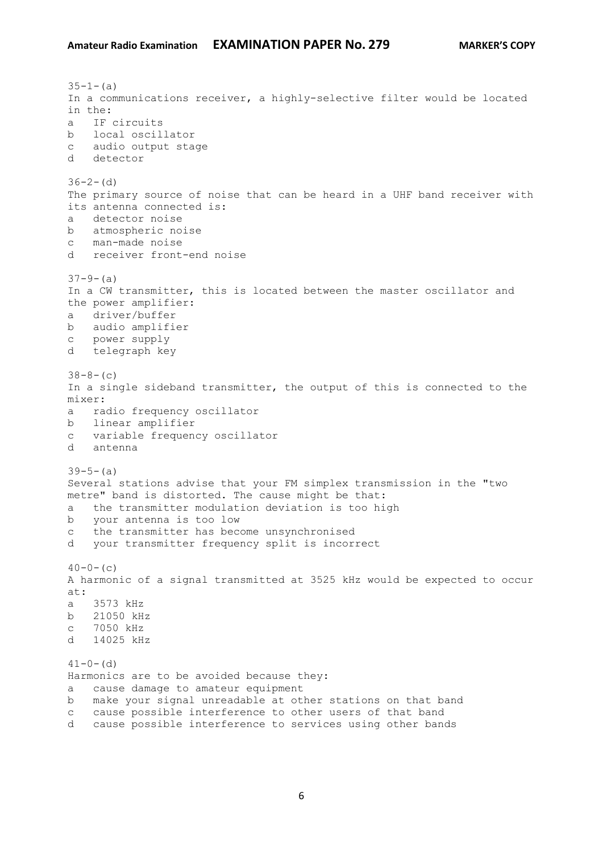$35-1-(a)$ In a communications receiver, a highly-selective filter would be located in the: a IF circuits b local oscillator c audio output stage d detector  $36-2-$  (d) The primary source of noise that can be heard in a UHF band receiver with its antenna connected is: a detector noise b atmospheric noise c man-made noise d receiver front-end noise  $37-9-$  (a) In a CW transmitter, this is located between the master oscillator and the power amplifier: a driver/buffer b audio amplifier c power supply d telegraph key  $38-8-(c)$ In a single sideband transmitter, the output of this is connected to the mixer: a radio frequency oscillator b linear amplifier c variable frequency oscillator d antenna  $39-5-(a)$ Several stations advise that your FM simplex transmission in the "two metre" band is distorted. The cause might be that: a the transmitter modulation deviation is too high b your antenna is too low c the transmitter has become unsynchronised d your transmitter frequency split is incorrect  $40-0-$  (c) A harmonic of a signal transmitted at 3525 kHz would be expected to occur at: a 3573 kHz b 21050 kHz c 7050 kHz d 14025 kHz  $41-0-$  (d) Harmonics are to be avoided because they: a cause damage to amateur equipment b make your signal unreadable at other stations on that band c cause possible interference to other users of that band d cause possible interference to services using other bands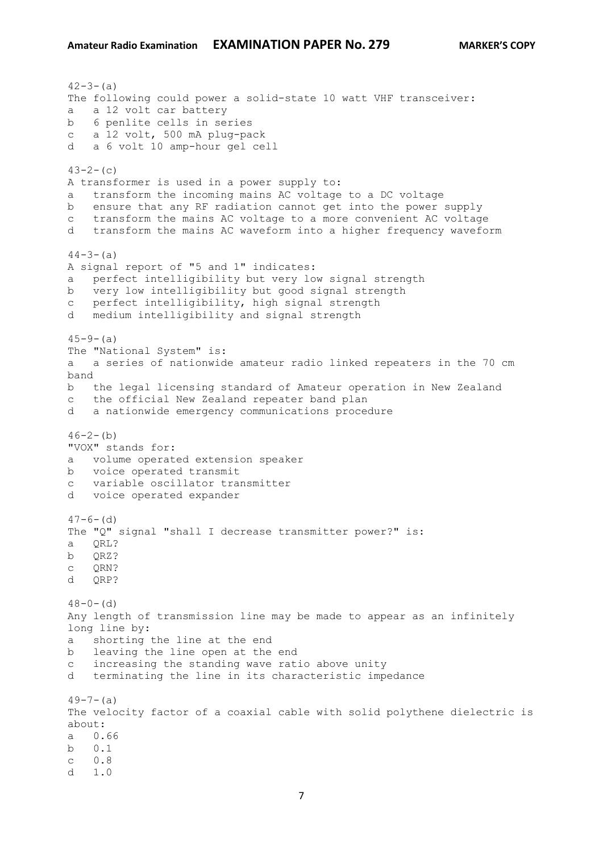$42 - 3 - (a)$ The following could power a solid-state 10 watt VHF transceiver: a a 12 volt car battery b 6 penlite cells in series c a 12 volt, 500 mA plug-pack d a 6 volt 10 amp-hour gel cell  $43-2-(c)$ A transformer is used in a power supply to: a transform the incoming mains AC voltage to a DC voltage b ensure that any RF radiation cannot get into the power supply c transform the mains AC voltage to a more convenient AC voltage d transform the mains AC waveform into a higher frequency waveform  $44-3-(a)$ A signal report of "5 and 1" indicates: a perfect intelligibility but very low signal strength b very low intelligibility but good signal strength c perfect intelligibility, high signal strength d medium intelligibility and signal strength  $45 - 9 - (a)$ The "National System" is: a a series of nationwide amateur radio linked repeaters in the 70 cm band b the legal licensing standard of Amateur operation in New Zealand c the official New Zealand repeater band plan d a nationwide emergency communications procedure  $46-2-(b)$ "VOX" stands for: a volume operated extension speaker b voice operated transmit c variable oscillator transmitter d voice operated expander  $47-6-$  (d) The "Q" signal "shall I decrease transmitter power?" is: a QRL? b QRZ? c QRN? d ORP?  $48-0-$  (d) Any length of transmission line may be made to appear as an infinitely long line by: a shorting the line at the end b leaving the line open at the end c increasing the standing wave ratio above unity d terminating the line in its characteristic impedance  $49-7-(a)$ The velocity factor of a coaxial cable with solid polythene dielectric is about: a 0.66 b 0.1 c 0.8  $d = 1.0$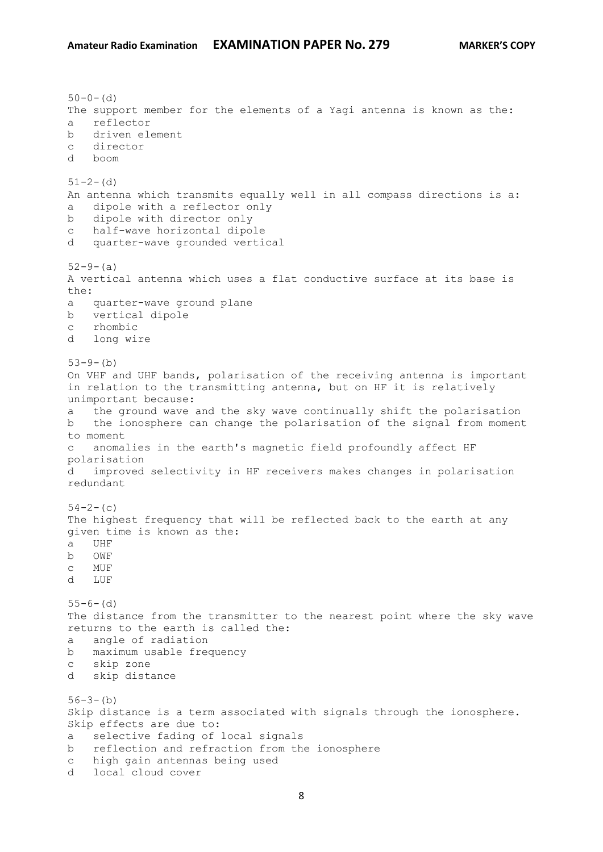```
50-0- (d)
The support member for the elements of a Yagi antenna is known as the:
a reflector
b driven element
c director
d boom
51 - 2 - (d)An antenna which transmits equally well in all compass directions is a:
a dipole with a reflector only
b dipole with director only
c half-wave horizontal dipole
d quarter-wave grounded vertical
52-9-(a)A vertical antenna which uses a flat conductive surface at its base is 
the:
a quarter-wave ground plane
b vertical dipole
c rhombic
d long wire
53-9-(b)On VHF and UHF bands, polarisation of the receiving antenna is important 
in relation to the transmitting antenna, but on HF it is relatively 
unimportant because:
a the ground wave and the sky wave continually shift the polarisation
b the ionosphere can change the polarisation of the signal from moment 
to moment
c anomalies in the earth's magnetic field profoundly affect HF 
polarisation
d improved selectivity in HF receivers makes changes in polarisation 
redundant
54-2-(c)
The highest frequency that will be reflected back to the earth at any 
given time is known as the:
a UHF
b OWF
c MUF
d LUF
55-6- (d)
The distance from the transmitter to the nearest point where the sky wave 
returns to the earth is called the:
a angle of radiation
b maximum usable frequency
c skip zone
d skip distance
56-3-(b)Skip distance is a term associated with signals through the ionosphere. 
Skip effects are due to:
a selective fading of local signals
b reflection and refraction from the ionosphere
c high gain antennas being used
d local cloud cover
```